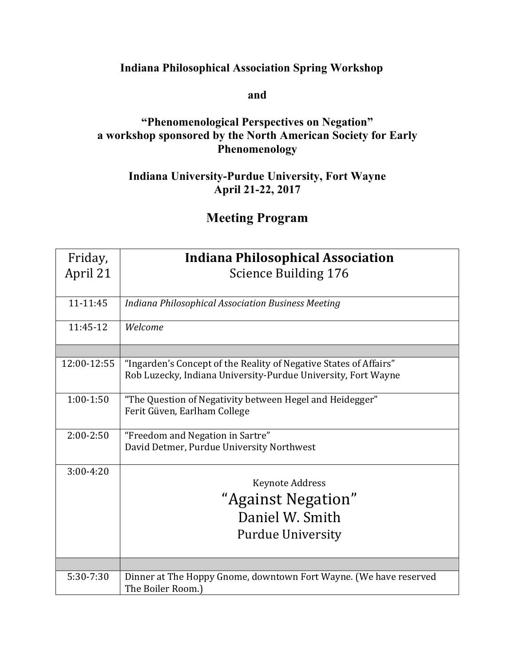## **Indiana Philosophical Association Spring Workshop**

**and**

## **"Phenomenological Perspectives on Negation" a workshop sponsored by the North American Society for Early Phenomenology**

## **Indiana University-Purdue University, Fort Wayne April 21-22, 2017**

## **Meeting Program**

| Friday,     | <b>Indiana Philosophical Association</b>                                                                                           |
|-------------|------------------------------------------------------------------------------------------------------------------------------------|
| April 21    | <b>Science Building 176</b>                                                                                                        |
|             |                                                                                                                                    |
| 11-11:45    | Indiana Philosophical Association Business Meeting                                                                                 |
| 11:45-12    | Welcome                                                                                                                            |
|             |                                                                                                                                    |
| 12:00-12:55 | "Ingarden's Concept of the Reality of Negative States of Affairs"<br>Rob Luzecky, Indiana University-Purdue University, Fort Wayne |
| $1:00-1:50$ | "The Question of Negativity between Hegel and Heidegger"<br>Ferit Güven, Earlham College                                           |
| $2:00-2:50$ | "Freedom and Negation in Sartre"<br>David Detmer, Purdue University Northwest                                                      |
| $3:00-4:20$ | Keynote Address                                                                                                                    |
|             |                                                                                                                                    |
|             | "Against Negation"                                                                                                                 |
|             | Daniel W. Smith                                                                                                                    |
|             | <b>Purdue University</b>                                                                                                           |
|             |                                                                                                                                    |
| 5:30-7:30   | Dinner at The Hoppy Gnome, downtown Fort Wayne. (We have reserved                                                                  |
|             | The Boiler Room.)                                                                                                                  |